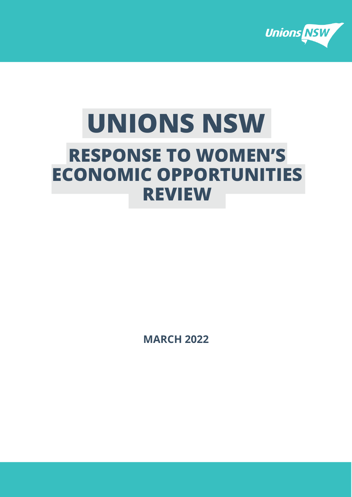

# **UNIONS NSW RESPONSE TO WOMEN'S ECONOMIC OPPORTUNITIES REVIEW**

**MARCH 2022**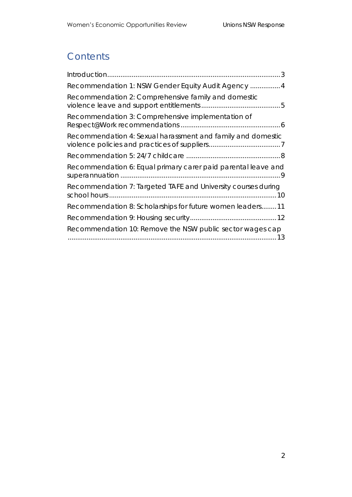# **Contents**

| Recommendation 1: NSW Gender Equity Audit Agency  4           |
|---------------------------------------------------------------|
| Recommendation 2: Comprehensive family and domestic           |
| Recommendation 3: Comprehensive implementation of             |
| Recommendation 4: Sexual harassment and family and domestic   |
|                                                               |
| Recommendation 6: Equal primary carer paid parental leave and |
| Recommendation 7: Targeted TAFE and University courses during |
| Recommendation 8: Scholarships for future women leaders11     |
|                                                               |
| Recommendation 10: Remove the NSW public sector wages cap     |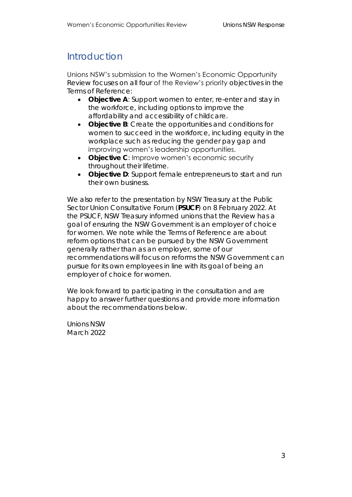## <span id="page-2-0"></span>Introduction

Unions NSW's submission to the Women's Economic Opportunity Review focuses on all four of the Review's priority objectives in the Terms of Reference:

- **Objective A**: Support women to enter, re-enter and stay in the workforce, including options to improve the affordability and accessibility of childcare.
- **Objective B**: Create the opportunities and conditions for women to succeed in the workforce, including equity in the workplace such as reducing the gender pay gap and improving women's leadership opportunities.
- **Objective C**: Improve women's economic security throughout their lifetime.
- **Objective D**: Support female entrepreneurs to start and run their own business.

We also refer to the presentation by NSW Treasury at the Public Sector Union Consultative Forum (**PSUCF**) on 8 February 2022. At the PSUCF, NSW Treasury informed unions that the Review has a goal of ensuring the NSW Government is an employer of choice for women. We note while the Terms of Reference are about reform options that can be pursued by the NSW Government generally rather than as an employer, some of our recommendations will focus on reforms the NSW Government can pursue for its own employees in line with its goal of being an employer of choice for women.

We look forward to participating in the consultation and are happy to answer further questions and provide more information about the recommendations below.

Unions NSW March 2022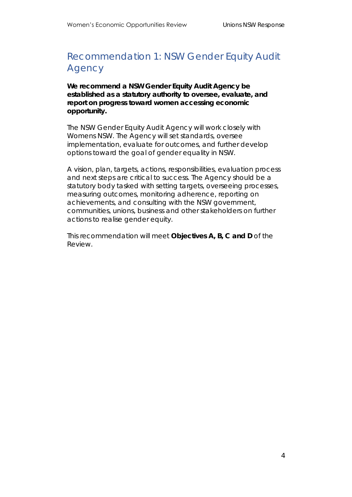## <span id="page-3-0"></span>Recommendation 1: NSW Gender Equity Audit Agency

**We recommend a NSW Gender Equity Audit Agency be established as a statutory authority to oversee, evaluate, and report on progress toward women accessing economic opportunity.**

The NSW Gender Equity Audit Agency will work closely with Womens NSW. The Agency will set standards, oversee implementation, evaluate for outcomes, and further develop options toward the goal of gender equality in NSW.

A vision, plan, targets, actions, responsibilities, evaluation process and next steps are critical to success. The Agency should be a statutory body tasked with setting targets, overseeing processes, measuring outcomes, monitoring adherence, reporting on achievements, and consulting with the NSW government, communities, unions, business and other stakeholders on further actions to realise gender equity.

This recommendation will meet **Objectives A, B, C and D** of the Review.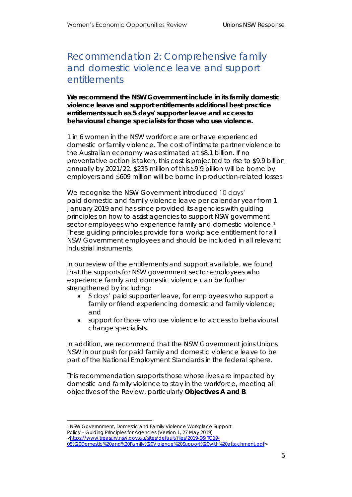### <span id="page-4-0"></span>Recommendation 2: Comprehensive family and domestic violence leave and support entitlements

**We recommend the NSW Government include in its family domestic violence leave and support entitlements additional best practice entitlements such as 5 days' supporter leave and access to behavioural change specialists for those who use violence.**

1 in 6 women in the NSW workforce are or have experienced domestic or family violence. The cost of intimate partner violence to the Australian economy was estimated at \$8.1 billion. If no preventative action is taken, this cost is projected to rise to \$9.9 billion annually by 2021/22. \$235 million of this \$9.9 billion will be borne by employers and \$609 million will be borne in production-related losses.

We recognise the NSW Government introduced 10 days' paid domestic and family violence leave per calendar year from 1 January 2019 and has since provided its agencies with guiding principles on how to assist agencies to support NSW government sector employees who experience family and domestic violence.<sup>1</sup> These guiding principles provide for a workplace entitlement for all NSW Government employees and should be included in all relevant industrial instruments.

In our review of the entitlements and support available, we found that the supports for NSW government sector employees who experience family and domestic violence can be further strengthened by including:

- 5 days' paid supporter leave, for employees who support a family or friend experiencing domestic and family violence; and
- support for those who use violence to access to behavioural change specialists.

In addition, we recommend that the NSW Government joins Unions NSW in our push for *paid* family and domestic violence leave to be part of the National Employment Standards in the federal sphere.

This recommendation supports those whose lives are impacted by domestic and family violence to stay in the workforce, meeting all objectives of the Review, particularly **Objectives A and B**.

<sup>1</sup> NSW Governnment, Domestic and Family Violence Workplace Support *Policy – Guiding Principles for Agencies* (Version 1, 27 May 2019)

[<sup>&</sup>lt;https://www.treasury.nsw.gov.au/sites/default/files/2019-06/TC19-](https://www.treasury.nsw.gov.au/sites/default/files/2019-06/TC19-08%20Domestic%20and%20Family%20Violence%20Support%20with%20attachment.pdf)

[<sup>08%20</sup>Domestic%20and%20Family%20Violence%20Support%20with%20attachment.pdf>](https://www.treasury.nsw.gov.au/sites/default/files/2019-06/TC19-08%20Domestic%20and%20Family%20Violence%20Support%20with%20attachment.pdf)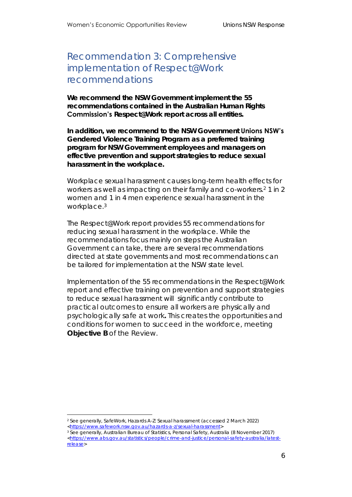#### <span id="page-5-0"></span>Recommendation 3: Comprehensive implementation of Respect@Work recommendations

**We recommend the NSW Government implement the 55 recommendations contained in the Australian Human Rights Commission's Respect@Work report across all entities.** 

**In addition, we recommend to the NSW Government Unions NSW's Gendered Violence Training Program as a preferred training program for NSW Government employees and managers on effective prevention and support strategies to reduce sexual harassment in the workplace.**

Workplace sexual harassment causes long-term health effects for workers as well as impacting on their family and co-workers.<sup>2</sup> 1 in 2 women and 1 in 4 men experience sexual harassment in the workplace.<sup>3</sup>

The Respect@Work report provides 55 recommendations for reducing sexual harassment in the workplace. While the recommendations focus mainly on steps the Australian Government can take, there are several recommendations directed at state governments and most recommendations can be tailored for implementation at the NSW state level.

Implementation of the 55 recommendations in the Respect@Work report and effective training on prevention and support strategies to reduce sexual harassment will significantly contribute to practical outcomes to ensure all workers are physically and psychologically safe at work**.** This creates the opportunities and conditions for women to succeed in the workforce, meeting **Objective B** of the Review.

<sup>2</sup> See generally, SafeWork, *Hazards A-Z: Sexual harassment* (accessed 2 March 2022)

[<sup>&</sup>lt;https://www.safework.nsw.gov.au/hazards-a-z/sexual-harassment>](https://www.safework.nsw.gov.au/hazards-a-z/sexual-harassment)

<sup>3</sup> See generally, Australian Bureau of Statistics, *Personal Safety, Australia* (8 November 2017) [<https://www.abs.gov.au/statistics/people/crime-and-justice/personal-safety-australia/latest](https://www.abs.gov.au/statistics/people/crime-and-justice/personal-safety-australia/latest-release)[release>](https://www.abs.gov.au/statistics/people/crime-and-justice/personal-safety-australia/latest-release)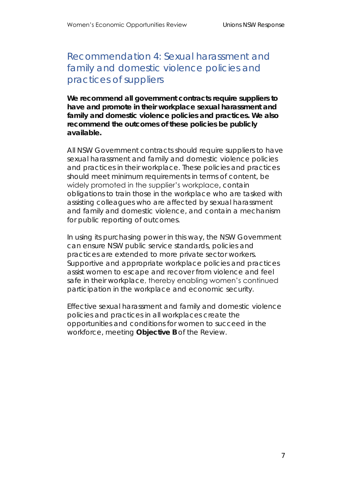<span id="page-6-0"></span>Recommendation 4: Sexual harassment and family and domestic violence policies and practices of suppliers

**We recommend all government contracts require suppliers to have and promote in their workplace sexual harassment and family and domestic violence policies and practices. We also recommend the outcomes of these policies be publicly available.**

All NSW Government contracts should require suppliers to have sexual harassment and family and domestic violence policies and practices in their workplace. These policies and practices should meet minimum requirements in terms of content, be widely promoted in the supplier's workplace, contain obligations to train those in the workplace who are tasked with assisting colleagues who are affected by sexual harassment and family and domestic violence, and contain a mechanism for public reporting of outcomes.

In using its purchasing power in this way, the NSW Government can ensure NSW public service standards, policies and practices are extended to more private sector workers. Supportive and appropriate workplace policies and practices assist women to escape and recover from violence and feel safe in their workplace, thereby enabling women's continued participation in the workplace and economic security.

Effective sexual harassment and family and domestic violence policies and practices in all workplaces create the opportunities and conditions for women to succeed in the workforce, meeting **Objective B** of the Review.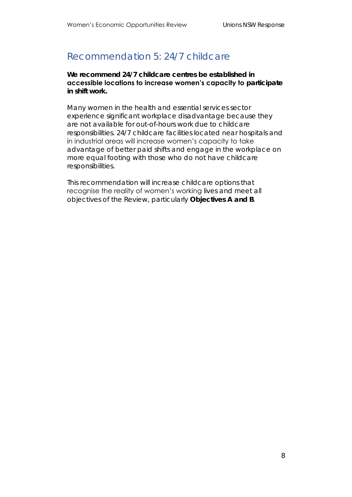#### <span id="page-7-0"></span>Recommendation 5: 24/7 childcare

**We recommend 24/7 childcare centres be established in accessible locations to increase women's capacity to participate in shift work.**

Many women in the health and essential services sector experience significant workplace disadvantage because they are not available for out-of-hours work due to childcare responsibilities. 24/7 childcare facilities located near hospitals and in industrial areas will increase women's capacity to take advantage of better paid shifts and engage in the workplace on more equal footing with those who do not have childcare responsibilities.

This recommendation will increase childcare options that recognise the reality of women's working lives and meet all objectives of the Review, particularly **Objectives A and B**.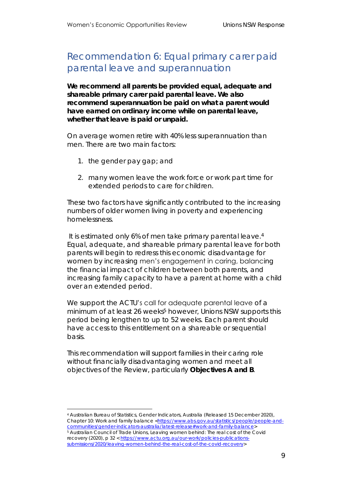#### <span id="page-8-0"></span>Recommendation 6: Equal primary carer paid parental leave and superannuation

**We recommend all parents be provided equal, adequate and shareable primary carer paid parental leave. We also recommend superannuation be paid on what a parent would have earned on ordinary income while on parental leave, whether that leave is paid or unpaid.**

On average women retire with 40% less superannuation than men. There are two main factors:

- 1. the gender pay gap; and
- 2. many women leave the work force or work part time for extended periods to care for children.

These two factors have significantly contributed to the increasing numbers of older women living in poverty and experiencing homelessness.

It is estimated only 6% of men take primary parental leave.<sup>4</sup> Equal, adequate, and shareable primary parental leave for both parents will begin to redress this economic disadvantage for women by increasing men's engagement in caring, balancing the financial impact of children between both parents, and increasing family capacity to have a parent at home with a child over an extended period.

We support the ACTU's call for adequate parental leave of a minimum of at least 26 weeks<sup>5</sup> however, Unions NSW supports this period being lengthen to up to 52 weeks. Each parent should have access to this entitlement on a shareable or sequential basis.

This recommendation will support families in their caring role without financially disadvantaging women and meet all objectives of the Review, particularly **Objectives A and B**.

<sup>4</sup> Australian Bureau of Statistics, *Gender Indicators, Australia* (Released 15 December 2020), Chapter 10: Work and family balance [<https://www.abs.gov.au/statistics/people/people-and](https://www.abs.gov.au/statistics/people/people-and-communities/gender-indicators-australia/latest-release#work-and-family-balance)[communities/gender-indicators-australia/latest-release#work-and-family-balance>](https://www.abs.gov.au/statistics/people/people-and-communities/gender-indicators-australia/latest-release#work-and-family-balance) <sup>5</sup> Australian Council of Trade Unions, *Leaving women behind: The real cost of the Covid*  recovery (2020), p 32 < [https://www.actu.org.au/our-work/policies-publications](https://www.actu.org.au/our-work/policies-publications-submissions/2020/leaving-women-behind-the-real-cost-of-the-covid-recovery)[submissions/2020/leaving-women-behind-the-real-cost-of-the-covid-recovery>](https://www.actu.org.au/our-work/policies-publications-submissions/2020/leaving-women-behind-the-real-cost-of-the-covid-recovery)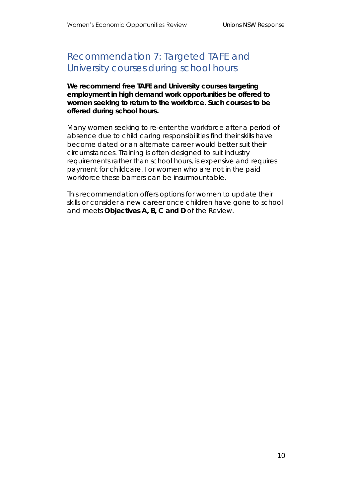### <span id="page-9-0"></span>Recommendation 7: Targeted TAFE and University courses during school hours

**We recommend free TAFE and University courses targeting employment in high demand work opportunities be offered to women seeking to return to the workforce. Such courses to be offered during school hours.**

Many women seeking to re-enter the workforce after a period of absence due to child caring responsibilities find their skills have become dated or an alternate career would better suit their circumstances. Training is often designed to suit industry requirements rather than school hours, is expensive and requires payment for childcare. For women who are not in the paid workforce these barriers can be insurmountable.

This recommendation offers options for women to update their skills or consider a new career once children have gone to school and meets **Objectives A, B, C and D** of the Review.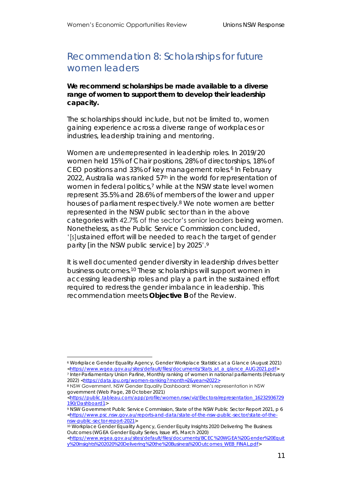#### <span id="page-10-0"></span>Recommendation 8: Scholarships for future women leaders

**We recommend scholarships be made available to a diverse range of women to support them to develop their leadership capacity.** 

The scholarships should include, but not be limited to, women gaining experience across a diverse range of workplaces or industries, leadership training and mentoring.

Women are underrepresented in leadership roles. In 2019/20 women held 15% of Chair positions, 28% of directorships, 18% of CEO positions and 33% of key management roles.<sup>6</sup> In February 2022, Australia was ranked 57<sup>th</sup> in the world for representation of women in federal politics, <sup>7</sup> while at the NSW state level women represent 35.5% and 28.6% of members of the lower and upper houses of parliament respectively. <sup>8</sup> We note women are better represented in the NSW public sector than in the above categories with 42.7% of the sector's senior leaders being women. Nonetheless, as the Public Service Commission concluded, '[s]ustained effort will be needed to reach the target of gender parity [in the NSW public service] by 2025'.9

It is well documented gender diversity in leadership drives better business outcomes. <sup>10</sup> These scholarships will support women in accessing leadership roles and play a part in the sustained effort required to redress the gender imbalance in leadership. This recommendation meets **Objective B** of the Review.

[<https://public.tableau.com/app/profile/women.nsw/viz/Electoralrepresentation\\_16232936729](https://public.tableau.com/app/profile/women.nsw/viz/Electoralrepresentation_16232936729190/Dashboard1) [190/Dashboard1>](https://public.tableau.com/app/profile/women.nsw/viz/Electoralrepresentation_16232936729190/Dashboard1)

<sup>6</sup> Workplace Gender Equality Agency, *Gender Workplace Statistics at a Glance* (August 2021) [<https://www.wgea.gov.au/sites/default/files/documents/Stats\\_at\\_a\\_glance\\_AUG2021.pdf>](https://www.wgea.gov.au/sites/default/files/documents/Stats_at_a_glance_AUG2021.pdf)

<sup>7</sup> Inter-Parliamentary Union Parline, *Monthly ranking of women in national parliaments* (February 2022) [<https://data.ipu.org/women-ranking?month=2&year=2022>](https://data.ipu.org/women-ranking?month=2&year=2022)

<sup>8</sup> NSW Government, NSW Gender Equality Dashboard: Women's representation in NSW government (Web Page, 28 October 2021)

<sup>9</sup> NSW Government Public Service Commission, *State of the NSW Public Sector Report 2021*, p 6 [<https://www.psc.nsw.gov.au/reports-and-data/state-of-the-nsw-public-sector/state-of-the](https://www.psc.nsw.gov.au/reports-and-data/state-of-the-nsw-public-sector/state-of-the-nsw-public-sector-report-2021)[nsw-public-sector-report-2021>](https://www.psc.nsw.gov.au/reports-and-data/state-of-the-nsw-public-sector/state-of-the-nsw-public-sector-report-2021)

<sup>10</sup> Workplace Gender Equality Agency, *Gender Equity Insights 2020 Delivering The Business Outcomes* (WGEA Gender Equity Series, Issue #5, March 2020)

[<sup>&</sup>lt;https://www.wgea.gov.au/sites/default/files/documents/BCEC%20WGEA%20Gender%20Equit](https://www.wgea.gov.au/sites/default/files/documents/BCEC%20WGEA%20Gender%20Equity%20Insights%202020%20Delivering%20the%20Business%20Outcomes_WEB_FINAL.pdf) [y%20Insights%202020%20Delivering%20the%20Business%20Outcomes\\_WEB\\_FINAL.pdf>](https://www.wgea.gov.au/sites/default/files/documents/BCEC%20WGEA%20Gender%20Equity%20Insights%202020%20Delivering%20the%20Business%20Outcomes_WEB_FINAL.pdf)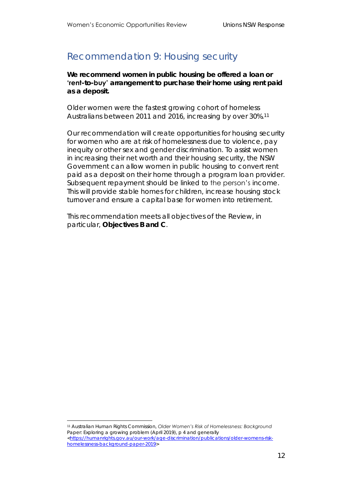#### <span id="page-11-0"></span>Recommendation 9: Housing security

**We recommend women in public housing be offered a loan or 'rent-to-buy' arrangement to purchase their home using rent paid as a deposit.**

Older women were the fastest growing cohort of homeless Australians between 2011 and 2016, increasing by over 30%. 11

Our recommendation will create opportunities for housing security for women who are at risk of homelessness due to violence, pay inequity or other sex and gender discrimination. To assist women in increasing their net worth and their housing security, the NSW Government can allow women in public housing to convert rent paid as a deposit on their home through a program loan provider. Subsequent repayment should be linked to the person's income. This will provide stable homes for children, increase housing stock turnover and ensure a capital base for women into retirement.

This recommendation meets all objectives of the Review, in particular, **Objectives B and C**.

<sup>11</sup> Australian Human Rights Commission, *Older Women's Risk of Homelessness: Background Paper*: *Exploring a growing problem* (April 2019), p 4 and generally [<https://humanrights.gov.au/our-work/age-discrimination/publications/older-womens-risk](https://humanrights.gov.au/our-work/age-discrimination/publications/older-womens-risk-homelessness-background-paper-2019)[homelessness-background-paper-2019>](https://humanrights.gov.au/our-work/age-discrimination/publications/older-womens-risk-homelessness-background-paper-2019)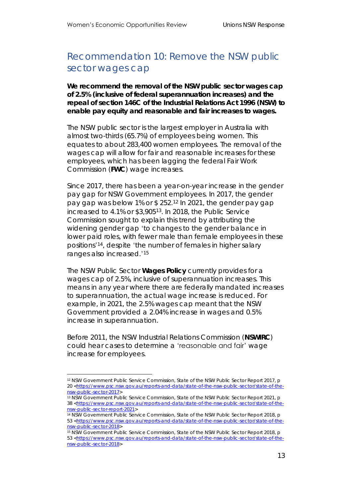#### <span id="page-12-0"></span>Recommendation 10: Remove the NSW public sector wages cap

**We recommend the removal of the NSW public sector wages cap of 2.5% (inclusive of federal superannuation increases) and the repeal of section 146C of the** *Industrial Relations Act 1996* **(NSW) to enable pay equity and reasonable and fair increases to wages.**

The NSW public sector is the largest employer in Australia with almost two-thirds (65.7%) of employees being women. This equates to about 283,400 women employees. The removal of the wages cap will allow for fair and reasonable increases for these employees, which has been lagging the federal Fair Work Commission (**FWC**) wage increases.

Since 2017, there has been a year-on-year increase in the gender pay gap for NSW Government employees. In 2017, the gender pay gap was below 1% or \$ 252.<sup>12</sup> In 2021, the gender pay gap increased to 4.1% or \$3,905<sup>13</sup>. In 2018, the Public Service Commission sought to explain this trend by attributing the widening gender gap 'to changes to the gender balance in lower paid roles, with fewer male than female employees in these positions' <sup>14</sup>, despite 'the number of females in higher salary ranges also increased.' 15

The NSW Public Sector *Wages Policy* currently provides for a wages cap of 2.5%, inclusive of superannuation increases. This means in any year where there are federally mandated increases to superannuation, the actual wage increase is reduced. For example, in 2021, the 2.5% wages cap meant that the NSW Government provided a 2.04% increase in wages and 0.5% increase in superannuation.

Before 2011, the NSW Industrial Relations Commission (*NSWIRC*) could hear cases to determine a 'reasonable and fair' wage increase for employees.

<sup>12</sup> NSW Government Public Service Commission, *State of the NSW Public Sector Report 2017*, p 20 [<https://www.psc.nsw.gov.au/reports-and-data/state-of-the-nsw-public-sector/state-of-the](https://www.psc.nsw.gov.au/reports-and-data/state-of-the-nsw-public-sector/state-of-the-nsw-public-sector-2017)[nsw-public-sector-2017>](https://www.psc.nsw.gov.au/reports-and-data/state-of-the-nsw-public-sector/state-of-the-nsw-public-sector-2017)

<sup>13</sup> NSW Government Public Service Commission, *State of the NSW Public Sector Report 2021*, p 38 [<https://www.psc.nsw.gov.au/reports-and-data/state-of-the-nsw-public-sector/state-of-the](https://www.psc.nsw.gov.au/reports-and-data/state-of-the-nsw-public-sector/state-of-the-nsw-public-sector-report-2021)[nsw-public-sector-report-2021>](https://www.psc.nsw.gov.au/reports-and-data/state-of-the-nsw-public-sector/state-of-the-nsw-public-sector-report-2021)

<sup>14</sup> NSW Government Public Service Commission, *State of the NSW Public Sector Report 2018*, p 53 [<https://www.psc.nsw.gov.au/reports-and-data/state-of-the-nsw-public-sector/state-of-the](https://www.psc.nsw.gov.au/reports-and-data/state-of-the-nsw-public-sector/state-of-the-nsw-public-sector-2018)[nsw-public-sector-2018>](https://www.psc.nsw.gov.au/reports-and-data/state-of-the-nsw-public-sector/state-of-the-nsw-public-sector-2018)

<sup>15</sup> NSW Government Public Service Commission, *State of the NSW Public Sector Report 2018*, p 53 [<https://www.psc.nsw.gov.au/reports-and-data/state-of-the-nsw-public-sector/state-of-the](https://www.psc.nsw.gov.au/reports-and-data/state-of-the-nsw-public-sector/state-of-the-nsw-public-sector-2018)[nsw-public-sector-2018>](https://www.psc.nsw.gov.au/reports-and-data/state-of-the-nsw-public-sector/state-of-the-nsw-public-sector-2018)